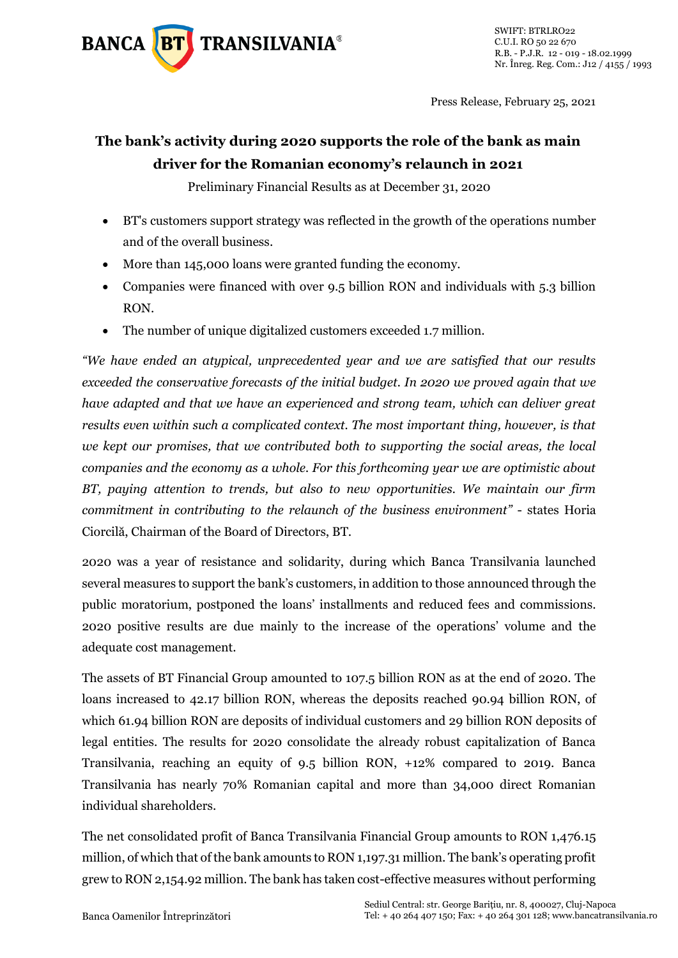

Press Release, February 25, 2021

## **The bank's activity during 2020 supports the role of the bank as main driver for the Romanian economy's relaunch in 2021**

Preliminary Financial Results as at December 31, 2020

- BT's customers support strategy was reflected in the growth of the operations number and of the overall business.
- More than 145,000 loans were granted funding the economy.
- Companies were financed with over 9.5 billion RON and individuals with 5.3 billion RON.
- The number of unique digitalized customers exceeded 1.7 million.

*"We have ended an atypical, unprecedented year and we are satisfied that our results exceeded the conservative forecasts of the initial budget. In 2020 we proved again that we have adapted and that we have an experienced and strong team, which can deliver great results even within such a complicated context. The most important thing, however, is that we kept our promises, that we contributed both to supporting the social areas, the local companies and the economy as a whole. For this forthcoming year we are optimistic about BT, paying attention to trends, but also to new opportunities. We maintain our firm commitment in contributing to the relaunch of the business environment"* - states Horia Ciorcilă, Chairman of the Board of Directors, BT.

2020 was a year of resistance and solidarity, during which Banca Transilvania launched several measures to support the bank's customers, in addition to those announced through the public moratorium, postponed the loans' installments and reduced fees and commissions. 2020 positive results are due mainly to the increase of the operations' volume and the adequate cost management.

The assets of BT Financial Group amounted to 107.5 billion RON as at the end of 2020. The loans increased to 42.17 billion RON, whereas the deposits reached 90.94 billion RON, of which 61.94 billion RON are deposits of individual customers and 29 billion RON deposits of legal entities. The results for 2020 consolidate the already robust capitalization of Banca Transilvania, reaching an equity of 9.5 billion RON, +12% compared to 2019. Banca Transilvania has nearly 70% Romanian capital and more than 34,000 direct Romanian individual shareholders.

The net consolidated profit of Banca Transilvania Financial Group amounts to RON 1,476.15 million, of which that of the bank amounts to RON 1,197.31 million. The bank's operating profit grew to RON 2,154.92 million. The bank has taken cost-effective measures without performing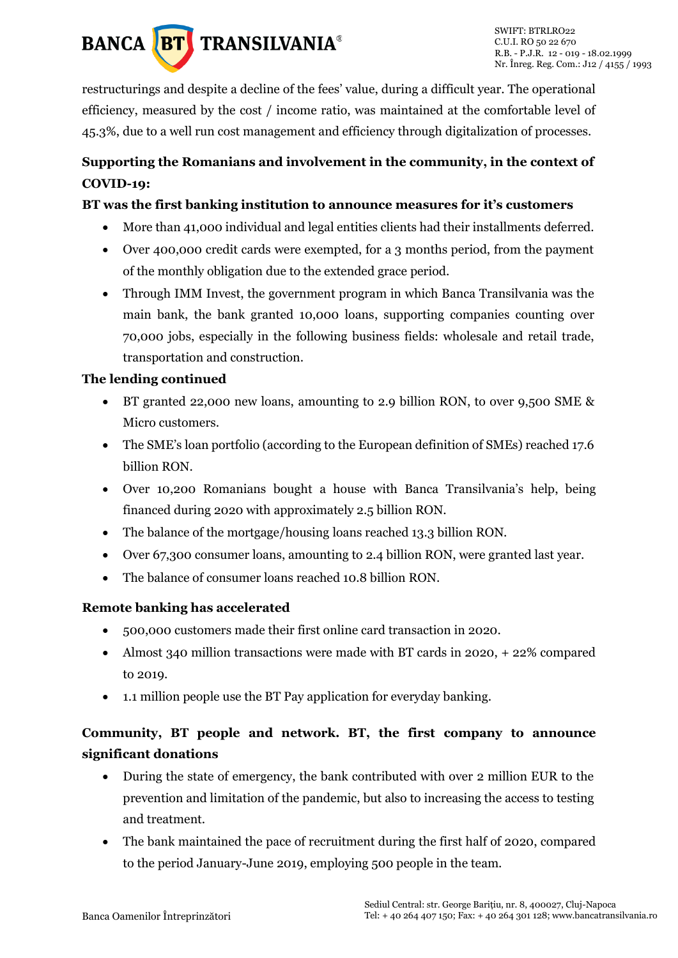

restructurings and despite a decline of the fees' value, during a difficult year. The operational efficiency, measured by the cost / income ratio, was maintained at the comfortable level of 45.3%, due to a well run cost management and efficiency through digitalization of processes.

## **Supporting the Romanians and involvement in the community, in the context of COVID-19:**

#### **BT was the first banking institution to announce measures for it's customers**

- More than 41,000 individual and legal entities clients had their installments deferred.
- Over 400,000 credit cards were exempted, for a 3 months period, from the payment of the monthly obligation due to the extended grace period.
- Through IMM Invest, the government program in which Banca Transilvania was the main bank, the bank granted 10,000 loans, supporting companies counting over 70,000 jobs, especially in the following business fields: wholesale and retail trade, transportation and construction.

#### **The lending continued**

- BT granted 22,000 new loans, amounting to 2.9 billion RON, to over 9,500 SME & Micro customers.
- The SME's loan portfolio (according to the European definition of SMEs) reached 17.6 billion RON.
- Over 10,200 Romanians bought a house with Banca Transilvania's help, being financed during 2020 with approximately 2.5 billion RON.
- The balance of the mortgage/housing loans reached 13.3 billion RON.
- Over 67,300 consumer loans, amounting to 2.4 billion RON, were granted last year.
- The balance of consumer loans reached 10.8 billion RON.

#### **Remote banking has accelerated**

- 500,000 customers made their first online card transaction in 2020.
- Almost 340 million transactions were made with BT cards in 2020, + 22% compared to 2019.
- 1.1 million people use the BT Pay application for everyday banking.

### **Community, BT people and network. BT, the first company to announce significant donations**

- During the state of emergency, the bank contributed with over 2 million EUR to the prevention and limitation of the pandemic, but also to increasing the access to testing and treatment.
- The bank maintained the pace of recruitment during the first half of 2020, compared to the period January-June 2019, employing 500 people in the team.